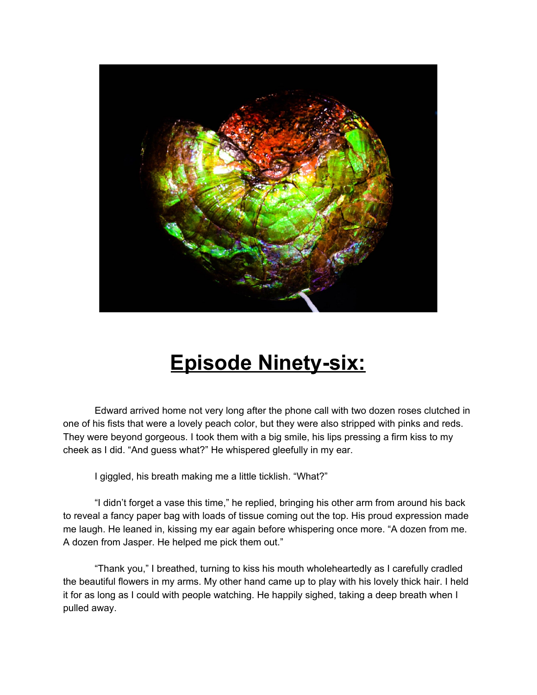

## **Episode Ninety-six:**

Edward arrived home not very long after the phone call with two dozen roses clutched in one of his fists that were a lovely peach color, but they were also stripped with pinks and reds. They were beyond gorgeous. I took them with a big smile, his lips pressing a firm kiss to my cheek as I did. "And guess what?" He whispered gleefully in my ear.

I giggled, his breath making me a little ticklish. "What?"

"I didn't forget a vase this time," he replied, bringing his other arm from around his back to reveal a fancy paper bag with loads of tissue coming out the top. His proud expression made me laugh. He leaned in, kissing my ear again before whispering once more. "A dozen from me. A dozen from Jasper. He helped me pick them out."

"Thank you," I breathed, turning to kiss his mouth wholeheartedly as I carefully cradled the beautiful flowers in my arms. My other hand came up to play with his lovely thick hair. I held it for as long as I could with people watching. He happily sighed, taking a deep breath when I pulled away.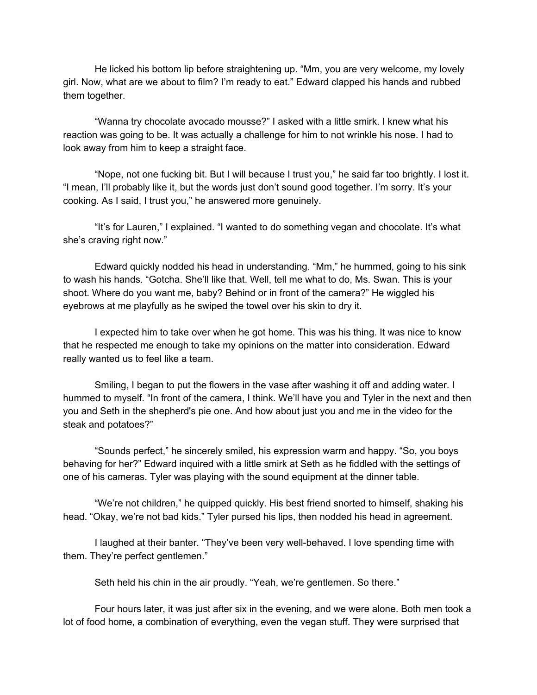He licked his bottom lip before straightening up. "Mm, you are very welcome, my lovely girl. Now, what are we about to film? I'm ready to eat." Edward clapped his hands and rubbed them together.

"Wanna try chocolate avocado mousse?" I asked with a little smirk. I knew what his reaction was going to be. It was actually a challenge for him to not wrinkle his nose. I had to look away from him to keep a straight face.

"Nope, not one fucking bit. But I will because I trust you," he said far too brightly. I lost it. "I mean, I'll probably like it, but the words just don't sound good together. I'm sorry. It's your cooking. As I said, I trust you," he answered more genuinely.

"It's for Lauren," I explained. "I wanted to do something vegan and chocolate. It's what she's craving right now."

Edward quickly nodded his head in understanding. "Mm," he hummed, going to his sink to wash his hands. "Gotcha. She'll like that. Well, tell me what to do, Ms. Swan. This is your shoot. Where do you want me, baby? Behind or in front of the camera?" He wiggled his eyebrows at me playfully as he swiped the towel over his skin to dry it.

I expected him to take over when he got home. This was his thing. It was nice to know that he respected me enough to take my opinions on the matter into consideration. Edward really wanted us to feel like a team.

Smiling, I began to put the flowers in the vase after washing it off and adding water. I hummed to myself. "In front of the camera, I think. We'll have you and Tyler in the next and then you and Seth in the shepherd's pie one. And how about just you and me in the video for the steak and potatoes?"

"Sounds perfect," he sincerely smiled, his expression warm and happy. "So, you boys behaving for her?" Edward inquired with a little smirk at Seth as he fiddled with the settings of one of his cameras. Tyler was playing with the sound equipment at the dinner table.

"We're not children," he quipped quickly. His best friend snorted to himself, shaking his head. "Okay, we're not bad kids." Tyler pursed his lips, then nodded his head in agreement.

I laughed at their banter. "They've been very well-behaved. I love spending time with them. They're perfect gentlemen."

Seth held his chin in the air proudly. "Yeah, we're gentlemen. So there."

Four hours later, it was just after six in the evening, and we were alone. Both men took a lot of food home, a combination of everything, even the vegan stuff. They were surprised that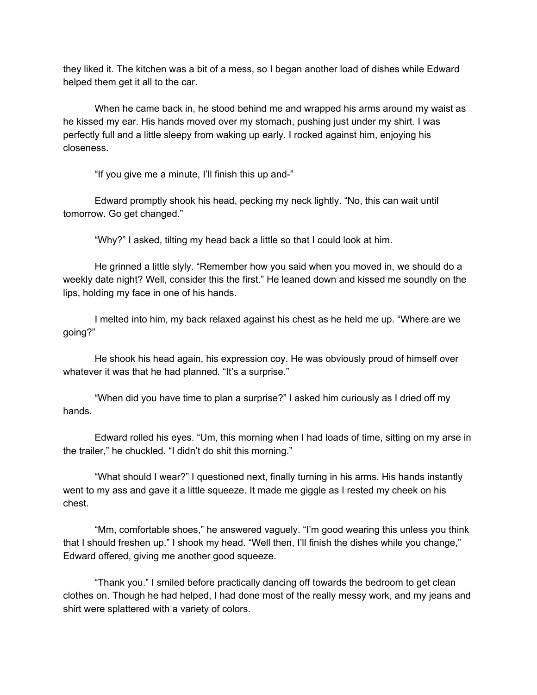they liked it. The kitchen was a bit of a mess, so I began another load of dishes while Edward helped them get it all to the car.

When he came back in, he stood behind me and wrapped his arms around my waist as he kissed my ear. His hands moved over my stomach, pushing just under my shirt. I was perfectly full and a little sleepy from waking up early. I rocked against him, enjoying his closeness.

"If you give me a minute, I'll finish this up and-"

Edward promptly shook his head, pecking my neck lightly. "No, this can wait until tomorrow. Go get changed."

"Why?" I asked, tilting my head back a little so that I could look at him.

He grinned a little slyly. "Remember how you said when you moved in, we should do a weekly date night? Well, consider this the first." He leaned down and kissed me soundly on the lips, holding my face in one of his hands.

I melted into him, my back relaxed against his chest as he held me up. "Where are we going?"

He shook his head again, his expression coy. He was obviously proud of himself over whatever it was that he had planned. "It's a surprise."

"When did you have time to plan a surprise?" I asked him curiously as I dried off my hands.

Edward rolled his eyes. "Um, this morning when I had loads of time, sitting on my arse in the trailer," he chuckled. "I didn't do shit this morning."

"What should I wear?" I questioned next, finally turning in his arms. His hands instantly went to my ass and gave it a little squeeze. It made me giggle as I rested my cheek on his chest.

"Mm, comfortable shoes," he answered vaguely. "I'm good wearing this unless you think that I should freshen up." I shook my head. "Well then, I'll finish the dishes while you change," Edward offered, giving me another good squeeze.

"Thank you." I smiled before practically dancing off towards the bedroom to get clean clothes on. Though he had helped, I had done most of the really messy work, and my jeans and shirt were splattered with a variety of colors.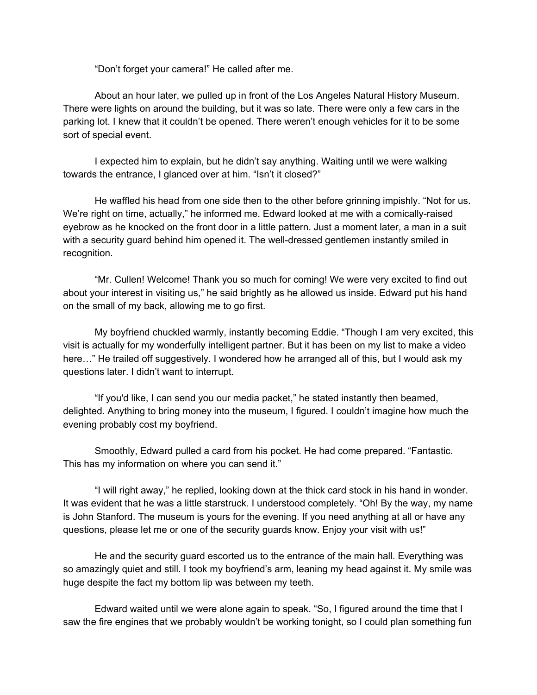"Don't forget your camera!" He called after me.

About an hour later, we pulled up in front of the Los Angeles Natural History Museum. There were lights on around the building, but it was so late. There were only a few cars in the parking lot. I knew that it couldn't be opened. There weren't enough vehicles for it to be some sort of special event.

I expected him to explain, but he didn't say anything. Waiting until we were walking towards the entrance, I glanced over at him. "Isn't it closed?"

He waffled his head from one side then to the other before grinning impishly. "Not for us. We're right on time, actually," he informed me. Edward looked at me with a comically-raised eyebrow as he knocked on the front door in a little pattern. Just a moment later, a man in a suit with a security guard behind him opened it. The well-dressed gentlemen instantly smiled in recognition.

"Mr. Cullen! Welcome! Thank you so much for coming! We were very excited to find out about your interest in visiting us," he said brightly as he allowed us inside. Edward put his hand on the small of my back, allowing me to go first.

My boyfriend chuckled warmly, instantly becoming Eddie. "Though I am very excited, this visit is actually for my wonderfully intelligent partner. But it has been on my list to make a video here…" He trailed off suggestively. I wondered how he arranged all of this, but I would ask my questions later. I didn't want to interrupt.

"If you'd like, I can send you our media packet," he stated instantly then beamed, delighted. Anything to bring money into the museum, I figured. I couldn't imagine how much the evening probably cost my boyfriend.

Smoothly, Edward pulled a card from his pocket. He had come prepared. "Fantastic. This has my information on where you can send it."

"I will right away," he replied, looking down at the thick card stock in his hand in wonder. It was evident that he was a little starstruck. I understood completely. "Oh! By the way, my name is John Stanford. The museum is yours for the evening. If you need anything at all or have any questions, please let me or one of the security guards know. Enjoy your visit with us!"

He and the security guard escorted us to the entrance of the main hall. Everything was so amazingly quiet and still. I took my boyfriend's arm, leaning my head against it. My smile was huge despite the fact my bottom lip was between my teeth.

Edward waited until we were alone again to speak. "So, I figured around the time that I saw the fire engines that we probably wouldn't be working tonight, so I could plan something fun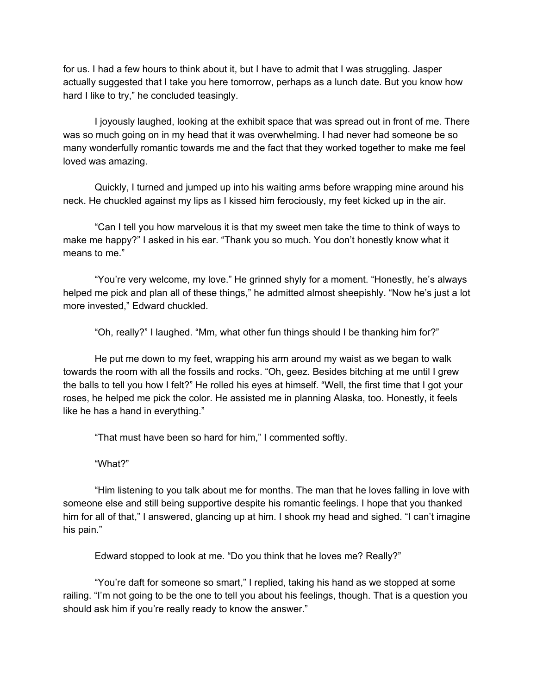for us. I had a few hours to think about it, but I have to admit that I was struggling. Jasper actually suggested that I take you here tomorrow, perhaps as a lunch date. But you know how hard I like to try," he concluded teasingly.

I joyously laughed, looking at the exhibit space that was spread out in front of me. There was so much going on in my head that it was overwhelming. I had never had someone be so many wonderfully romantic towards me and the fact that they worked together to make me feel loved was amazing.

Quickly, I turned and jumped up into his waiting arms before wrapping mine around his neck. He chuckled against my lips as I kissed him ferociously, my feet kicked up in the air.

"Can I tell you how marvelous it is that my sweet men take the time to think of ways to make me happy?" I asked in his ear. "Thank you so much. You don't honestly know what it means to me."

"You're very welcome, my love." He grinned shyly for a moment. "Honestly, he's always helped me pick and plan all of these things," he admitted almost sheepishly. "Now he's just a lot more invested," Edward chuckled.

"Oh, really?" I laughed. "Mm, what other fun things should I be thanking him for?"

He put me down to my feet, wrapping his arm around my waist as we began to walk towards the room with all the fossils and rocks. "Oh, geez. Besides bitching at me until I grew the balls to tell you how I felt?" He rolled his eyes at himself. "Well, the first time that I got your roses, he helped me pick the color. He assisted me in planning Alaska, too. Honestly, it feels like he has a hand in everything."

"That must have been so hard for him," I commented softly.

"What?"

"Him listening to you talk about me for months. The man that he loves falling in love with someone else and still being supportive despite his romantic feelings. I hope that you thanked him for all of that," I answered, glancing up at him. I shook my head and sighed. "I can't imagine his pain."

Edward stopped to look at me. "Do you think that he loves me? Really?"

"You're daft for someone so smart," I replied, taking his hand as we stopped at some railing. "I'm not going to be the one to tell you about his feelings, though. That is a question you should ask him if you're really ready to know the answer."